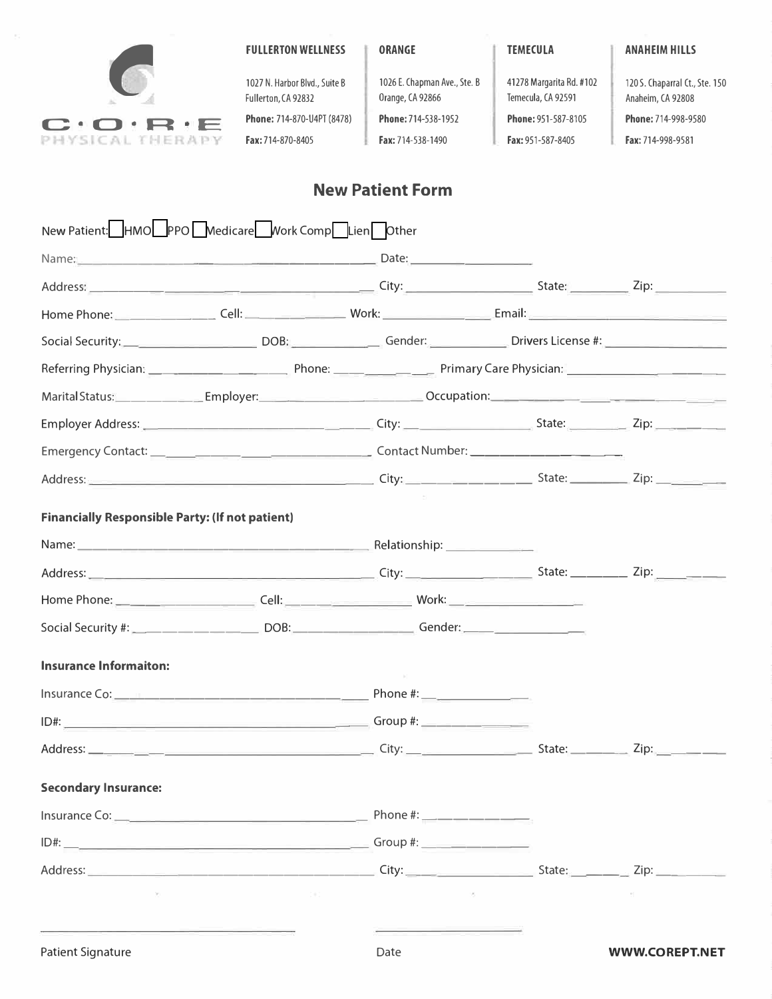

1027 N. Harbor Blvd., Suite B 1026 E. Chapman Ave., Ste. B 41278 Margarita Rd. #102 120 S. Chaparral Ct., Ste. 150 Fullerton, CA 92832 Orange, CA 92866 Temecula, CA 92591 Anaheim, CA 92808 **Fax: 951-587-8405** 

## **New Patient Form**

| New Patient: HMO PPO Medicare Work Comp Lien Other                                                                                                                                                                                   |       |      |            |                       |
|--------------------------------------------------------------------------------------------------------------------------------------------------------------------------------------------------------------------------------------|-------|------|------------|-----------------------|
|                                                                                                                                                                                                                                      |       |      |            |                       |
|                                                                                                                                                                                                                                      |       |      |            |                       |
|                                                                                                                                                                                                                                      |       |      |            |                       |
|                                                                                                                                                                                                                                      |       |      |            |                       |
|                                                                                                                                                                                                                                      |       |      |            |                       |
|                                                                                                                                                                                                                                      |       |      |            |                       |
| Employer Address: 21p: 21p:                                                                                                                                                                                                          |       |      |            |                       |
|                                                                                                                                                                                                                                      |       |      |            |                       |
|                                                                                                                                                                                                                                      |       |      |            |                       |
| <b>Financially Responsible Party: (If not patient)</b>                                                                                                                                                                               |       |      |            |                       |
|                                                                                                                                                                                                                                      |       |      |            |                       |
| Address: 2008. 2009. [2013] City: 2009. [2013] City: 2009. [2014] State: 2009. [2014] Zip: 2009. [2014] Zip: 2009. [2014] 2009. [2014] 2014. [2014] 2014. [2014] 2014. [2014] 2014. [2014] 2014. [2014] 2014. [2014] 2014. [20       |       |      |            |                       |
|                                                                                                                                                                                                                                      |       |      |            |                       |
|                                                                                                                                                                                                                                      |       |      |            |                       |
|                                                                                                                                                                                                                                      |       |      |            |                       |
| <b>Insurance Informaiton:</b>                                                                                                                                                                                                        |       |      |            |                       |
|                                                                                                                                                                                                                                      |       |      |            |                       |
|                                                                                                                                                                                                                                      |       |      |            |                       |
|                                                                                                                                                                                                                                      |       |      |            |                       |
| <b>Secondary Insurance:</b>                                                                                                                                                                                                          |       |      |            |                       |
|                                                                                                                                                                                                                                      |       |      |            |                       |
|                                                                                                                                                                                                                                      |       |      |            |                       |
| Address: <u>2008. Address: 2008. Address: 2008. Address: 2008. Address: 2008. 2008. 2008. 2008. 2008. 2008. 2008. 2008. 2008. 2008. 2008. 2008. 2008. 2008. 2008. 2008. 2008. 2008. 2008. 2008. 2008. 2008. 2008. 2008. 2008. 20</u> |       |      |            |                       |
| the control of the                                                                                                                                                                                                                   | Ted - |      | control of |                       |
|                                                                                                                                                                                                                                      |       |      |            |                       |
| <b>Patient Signature</b>                                                                                                                                                                                                             |       | Date |            | <b>WWW.COREPT.NET</b> |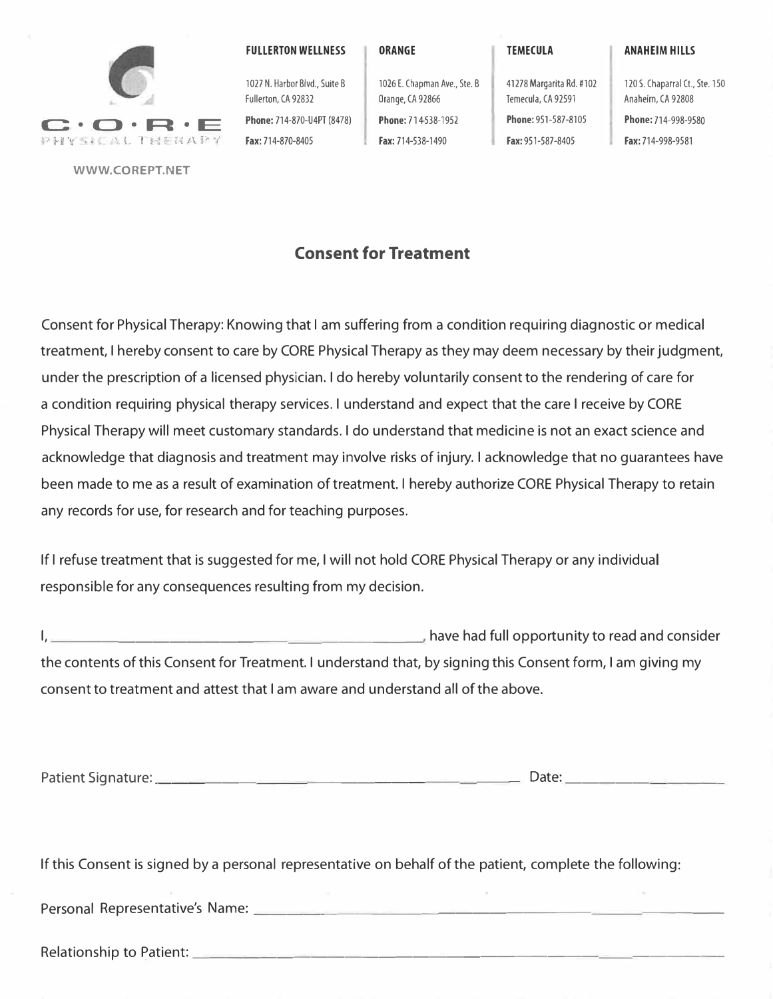

**WWW.COREPT.NET** 

**FULLERTON WELLNESS** 

1027 N. Harbor Blvd,, Suite B Fullerton, CA 92832

**Phone:** 714-870-U4PT (8478)

Fax: 714-870-8405

**ORANGE** 

Orange, CA 92866 **Phone:** 714-538-1952 Fax: 714-538-1490

1026 E, Chapman Ave,, Ste, B

**TEMECULA** 

41278 Margarita Rd. #102 Temecula, CA 92591 **Phone:** 951-587-8105 Fax: 951-587-8405

120 5, Chaparral Ct, Ste, 150 Anaheim, CA 92808 **Phone:** 714-998-9580 Fax: 714-998-9581

**ANAHEIM HILLS** 

**Consent for Treatment** 

Consent for Physical Therapy: Knowing that I am suffering from a condition requiring diagnostic or medical treatment, I hereby consent to care by CORE Physical Therapy as they may deem necessary by their judgment, under the prescription of a licensed physician. I do hereby voluntarily consent to the rendering of care for a condition requiring physical therapy services. I understand and expect that the care I receive by CORE Physical Therapy will meet customary standards. I do understand that medicine is not an exact science and acknowledge that diagnosis and treatment may involve risks of injury. I acknowledge that no guarantees have been made to me as a result of examination of treatment. I hereby authorize CORE Physical Therapy to retain any records for use, for research and for teaching purposes.

If I refuse treatment that is suggested for me, I will not hold CORE Physical Therapy or any individual responsible for any consequences resulting from my decision.

I, have had full opportunity to read and consider the contents of this Consent for Treatment. I understand that, by signing this Consent form, I am giving my consent to treatment and attest that I am aware and understand all of the above.

Patient Signature: \_\_\_\_\_\_\_\_\_\_\_\_\_\_\_\_\_\_ \_\_ \_ Date: ----- ----

If this Consent is signed by a personal representative on behalf of the patient, complete the following:

Personal Representative's Name: \_\_\_\_\_\_\_\_\_\_\_\_\_\_\_\_\_\_\_\_\_\_\_\_\_\_\_ \_

Relationship to Patient: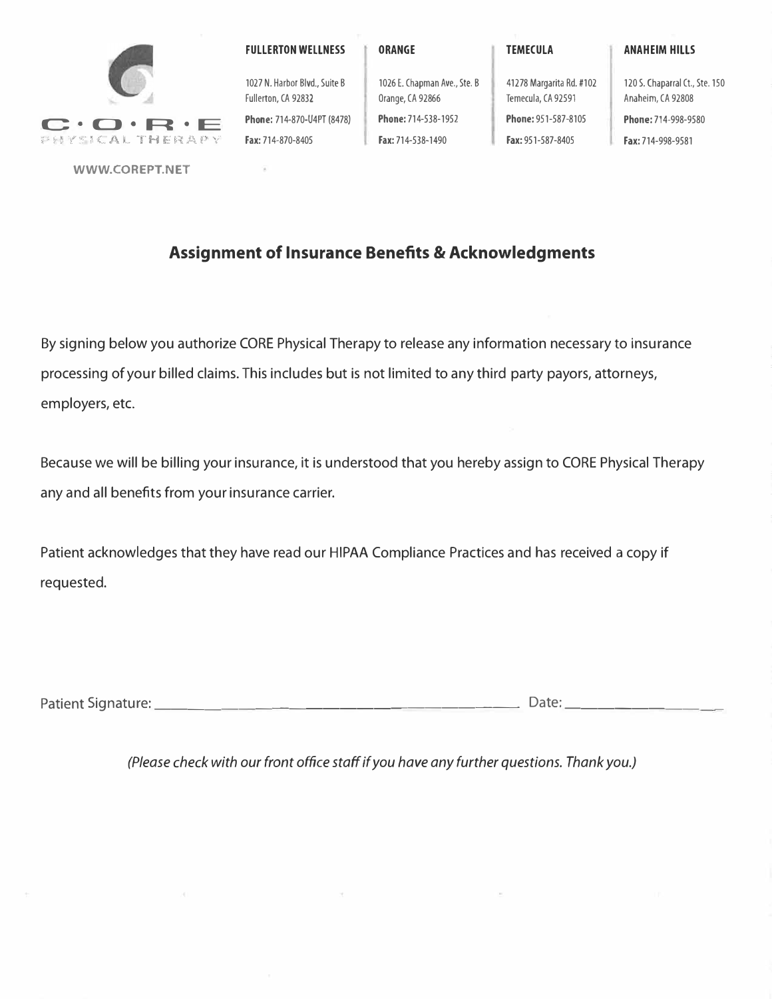

**WWW.COREPT.NET** 

**FULLERTON WELLNESS** 

**ANAHEIM HILLS** 

120 S. Chaparral Ct., Ste. 150 Anaheim, CA 92808

**Phone:** 714-998-9580 Fax: 714-998-9581

1027 N. Harbor Blvd., Suite B Fullerton, CA 92832 **Phone:** 714-870-U4PT (8478) Fax: 714-870-8405

G

1026 E. Chapman Ave., Ste. B 41278 Margarita Rd. #102 Orange, CA 92866 Temecula, CA 92591 **Phone:** 714-538-1952 **Phone:** 951-587-8105 Fax: 714-538-1490 **Fax: 951-587-8405** 

## **Assignment of Insurance Benefits & Acknowledgments**

By signing below you authorize CORE Physical Therapy to release any information necessary to insurance processing of your billed claims. This includes but is not limited to any third party payors, attorneys, employers, etc.

Because we will be billing your insurance, it is understood that you hereby assign to CORE Physical Therapy any and all benefits from your insurance carrier.

Patient acknowledges that they have read our HIPAA Compliance Practices and has received a copy if requested.

Patient Signature: \_\_\_\_\_\_\_\_\_\_\_\_\_\_\_\_\_\_\_\_\_ \_ Date: \_\_\_\_\_\_\_\_\_ \_

*(Please check with our front office staff if you have any further questions. Thank you.)*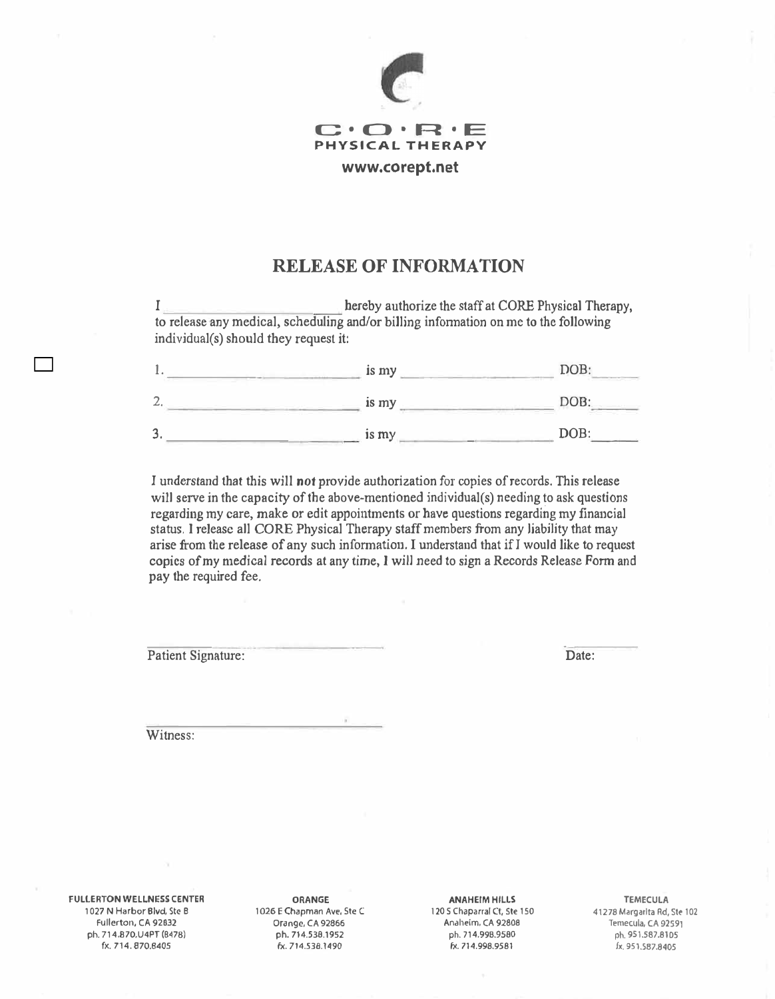

## **RELEASE OF INFORMATION**

I hereby authorize the staff at CORE Physical Therapy, to release any medical, scheduling and/or biJling infonnation on me to the following individual(s) should they request it:

|        | is my | DOB: |
|--------|-------|------|
| ∸      | is my | DOB: |
| ാ<br>ر | is my | DOB: |

I understand that this will not provide authorization for copies of records. This release will serve in the capacity of the above-mentioned individual(s) needing to ask questions regarding my care, **make** or edit appointments or **have** questions regarding my financial status. **I** release all **CORE** Physical Therapy staff members from any liability that may arise from the release of any such information. I understand that if *I* would like to request **copies** of my **medical** records at any time, I will need to sign a Records Release Form and pay the required fee.

Patient Signature:

. Date:

Witness:

**FULLERTON WELLNESS CENTER**  1027 N Harbor Blvd, Ste B Fullerton, CA 92832 ph. 714,870,U4PT (8478) fx. 714. 870.8405

**ORANGE**  1026 E Chapman Ave, Ste C Orange, CA 92866 ph. 714.538.1952 fx. 714.53B.1490

**ANAHEIM HILLS** 

120 S Chaparral Ct, Ste 150 Anaheim, CA 92808 ph. 714.998.9580 fx. 714.998.9581

**TEMECULA**  41278 Margarita Rd, Ste 102 Temecula, CA 92591 ph. 951.587.8105 fx. 951.587.8405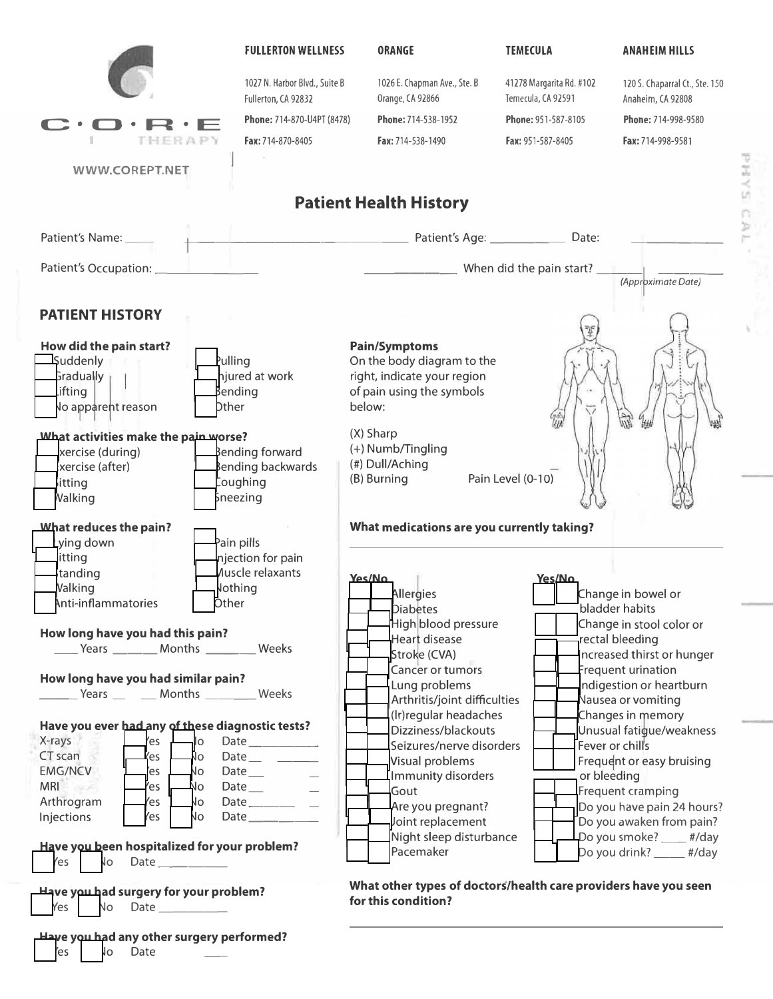

SANd